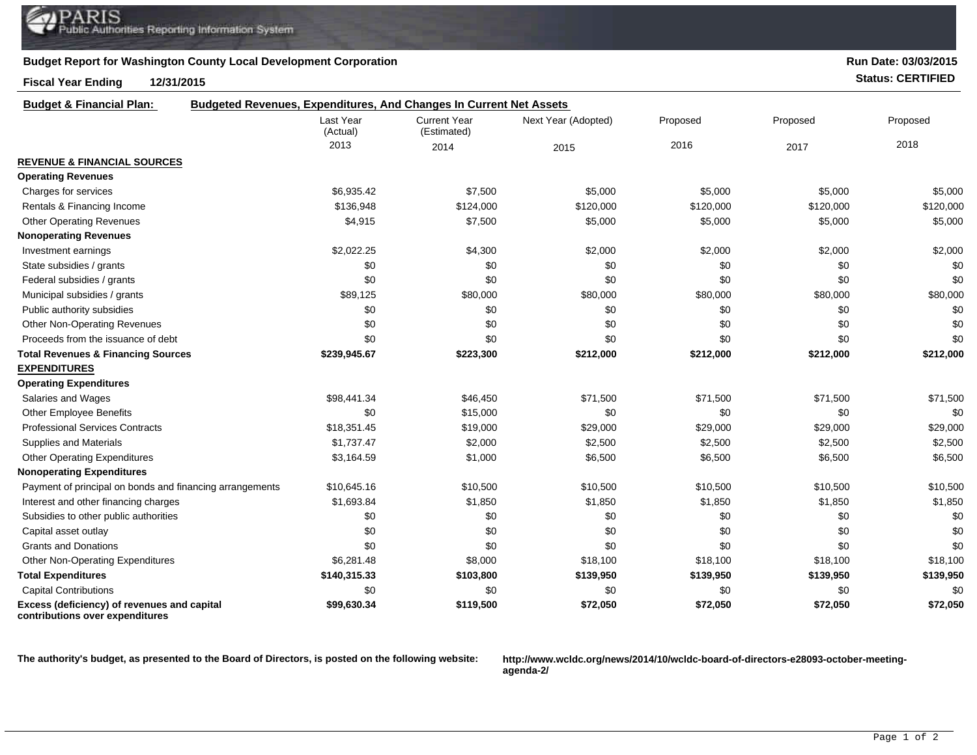## **Budget Report for Washington County Local Development Corporation**

## **Fiscal Year Ending 12/31/2015 Status: CERTIFIED**

| Run Date: 03/03/2015 |  |
|----------------------|--|
|----------------------|--|

| <b>Budget &amp; Financial Plan:</b>                                            | <b>Budgeted Revenues, Expenditures, And Changes In Current Net Assets</b> |                                    |                     |           |           |           |  |
|--------------------------------------------------------------------------------|---------------------------------------------------------------------------|------------------------------------|---------------------|-----------|-----------|-----------|--|
|                                                                                | Last Year<br>(Actual)                                                     | <b>Current Year</b><br>(Estimated) | Next Year (Adopted) | Proposed  | Proposed  | Proposed  |  |
|                                                                                | 2013                                                                      | 2014                               | 2015                | 2016      | 2017      | 2018      |  |
| <b>REVENUE &amp; FINANCIAL SOURCES</b>                                         |                                                                           |                                    |                     |           |           |           |  |
| <b>Operating Revenues</b>                                                      |                                                                           |                                    |                     |           |           |           |  |
| Charges for services                                                           | \$6,935.42                                                                | \$7,500                            | \$5,000             | \$5,000   | \$5,000   | \$5,000   |  |
| Rentals & Financing Income                                                     | \$136,948                                                                 | \$124,000                          | \$120,000           | \$120,000 | \$120,000 | \$120,000 |  |
| <b>Other Operating Revenues</b>                                                | \$4,915                                                                   | \$7,500                            | \$5,000             | \$5,000   | \$5,000   | \$5,000   |  |
| <b>Nonoperating Revenues</b>                                                   |                                                                           |                                    |                     |           |           |           |  |
| Investment earnings                                                            | \$2,022.25                                                                | \$4,300                            | \$2,000             | \$2,000   | \$2,000   | \$2,000   |  |
| State subsidies / grants                                                       | \$0                                                                       | \$0                                | \$0                 | \$0       | \$0       | \$0       |  |
| Federal subsidies / grants                                                     | \$0                                                                       | \$0                                | \$0                 | \$0       | \$0       | \$0       |  |
| Municipal subsidies / grants                                                   | \$89,125                                                                  | \$80,000                           | \$80,000            | \$80,000  | \$80,000  | \$80,000  |  |
| Public authority subsidies                                                     | \$0                                                                       | \$0                                | \$0                 | \$0       | \$0       | \$0       |  |
| <b>Other Non-Operating Revenues</b>                                            | \$0                                                                       | \$0                                | \$0                 | \$0       | \$0       | \$0       |  |
| Proceeds from the issuance of debt                                             | \$0                                                                       | \$0                                | \$0                 | \$0       | \$0       | \$0       |  |
| <b>Total Revenues &amp; Financing Sources</b>                                  | \$239,945.67                                                              | \$223,300                          | \$212,000           | \$212,000 | \$212,000 | \$212,000 |  |
| <b>EXPENDITURES</b>                                                            |                                                                           |                                    |                     |           |           |           |  |
| <b>Operating Expenditures</b>                                                  |                                                                           |                                    |                     |           |           |           |  |
| Salaries and Wages                                                             | \$98,441.34                                                               | \$46,450                           | \$71,500            | \$71,500  | \$71,500  | \$71,500  |  |
| <b>Other Employee Benefits</b>                                                 | \$0                                                                       | \$15,000                           | \$0                 | \$0       | \$0       | \$0       |  |
| <b>Professional Services Contracts</b>                                         | \$18,351.45                                                               | \$19,000                           | \$29,000            | \$29,000  | \$29,000  | \$29,000  |  |
| Supplies and Materials                                                         | \$1,737.47                                                                | \$2,000                            | \$2,500             | \$2,500   | \$2,500   | \$2,500   |  |
| <b>Other Operating Expenditures</b>                                            | \$3,164.59                                                                | \$1,000                            | \$6,500             | \$6,500   | \$6,500   | \$6,500   |  |
| <b>Nonoperating Expenditures</b>                                               |                                                                           |                                    |                     |           |           |           |  |
| Payment of principal on bonds and financing arrangements                       | \$10,645.16                                                               | \$10,500                           | \$10,500            | \$10,500  | \$10,500  | \$10,500  |  |
| Interest and other financing charges                                           | \$1,693.84                                                                | \$1,850                            | \$1,850             | \$1,850   | \$1,850   | \$1,850   |  |
| Subsidies to other public authorities                                          | \$0                                                                       | \$0                                | \$0                 | \$0       | \$0       | \$0       |  |
| Capital asset outlay                                                           | \$0                                                                       | \$0                                | \$0                 | \$0       | \$0       | \$0       |  |
| <b>Grants and Donations</b>                                                    | \$0                                                                       | \$0                                | \$0                 | \$0       | \$0       | \$0       |  |
| <b>Other Non-Operating Expenditures</b>                                        | \$6,281.48                                                                | \$8,000                            | \$18,100            | \$18,100  | \$18,100  | \$18,100  |  |
| <b>Total Expenditures</b>                                                      | \$140,315.33                                                              | \$103,800                          | \$139,950           | \$139,950 | \$139,950 | \$139,950 |  |
| <b>Capital Contributions</b>                                                   | \$0                                                                       | \$0                                | \$0                 | \$0       | \$0       | \$0       |  |
| Excess (deficiency) of revenues and capital<br>contributions over expenditures | \$99,630.34                                                               | \$119,500                          | \$72,050            | \$72,050  | \$72,050  | \$72,050  |  |

**The authority's budget, as presented to the Board of Directors, is posted on the following website: http://www.wcldc.org/news/2014/10/wcldc-board-of-directors-e28093-october-meeting-**

**agenda-2/**